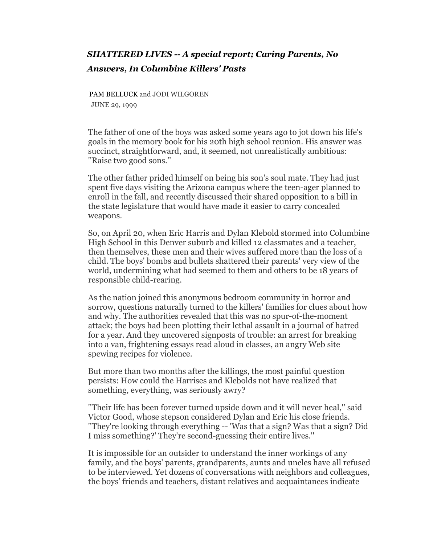## *SHATTERED LIVES -- A special report; Caring Parents, No Answers, In Columbine Killers' Pasts*

 [PAM BELLUCK](https://www.nytimes.com/by/pam-belluck) and JODI WILGOREN JUNE 29, 1999

The father of one of the boys was asked some years ago to jot down his life's goals in the memory book for his 20th high school reunion. His answer was succinct, straightforward, and, it seemed, not unrealistically ambitious: ''Raise two good sons.''

The other father prided himself on being his son's soul mate. They had just spent five days visiting the Arizona campus where the teen-ager planned to enroll in the fall, and recently discussed their shared opposition to a bill in the state legislature that would have made it easier to carry concealed weapons.

So, on April 20, when Eric Harris and Dylan Klebold stormed into Columbine High School in this Denver suburb and killed 12 classmates and a teacher, then themselves, these men and their wives suffered more than the loss of a child. The boys' bombs and bullets shattered their parents' very view of the world, undermining what had seemed to them and others to be 18 years of responsible child-rearing.

As the nation joined this anonymous bedroom community in horror and sorrow, questions naturally turned to the killers' families for clues about how and why. The authorities revealed that this was no spur-of-the-moment attack; the boys had been plotting their lethal assault in a journal of hatred for a year. And they uncovered signposts of trouble: an arrest for breaking into a van, frightening essays read aloud in classes, an angry Web site spewing recipes for violence.

But more than two months after the killings, the most painful question persists: How could the Harrises and Klebolds not have realized that something, everything, was seriously awry?

''Their life has been forever turned upside down and it will never heal,'' said Victor Good, whose stepson considered Dylan and Eric his close friends. ''They're looking through everything -- 'Was that a sign? Was that a sign? Did I miss something?' They're second-guessing their entire lives.''

It is impossible for an outsider to understand the inner workings of any family, and the boys' parents, grandparents, aunts and uncles have all refused to be interviewed. Yet dozens of conversations with neighbors and colleagues, the boys' friends and teachers, distant relatives and acquaintances indicate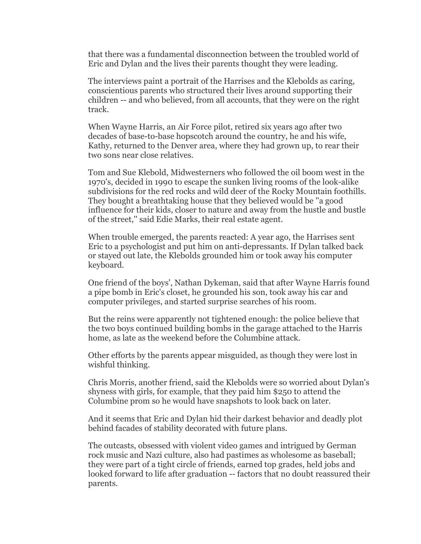that there was a fundamental disconnection between the troubled world of Eric and Dylan and the lives their parents thought they were leading.

The interviews paint a portrait of the Harrises and the Klebolds as caring, conscientious parents who structured their lives around supporting their children -- and who believed, from all accounts, that they were on the right track.

When Wayne Harris, an Air Force pilot, retired six years ago after two decades of base-to-base hopscotch around the country, he and his wife, Kathy, returned to the Denver area, where they had grown up, to rear their two sons near close relatives.

Tom and Sue Klebold, Midwesterners who followed the oil boom west in the 1970's, decided in 1990 to escape the sunken living rooms of the look-alike subdivisions for the red rocks and wild deer of the Rocky Mountain foothills. They bought a breathtaking house that they believed would be ''a good influence for their kids, closer to nature and away from the hustle and bustle of the street,'' said Edie Marks, their real estate agent.

When trouble emerged, the parents reacted: A year ago, the Harrises sent Eric to a psychologist and put him on anti-depressants. If Dylan talked back or stayed out late, the Klebolds grounded him or took away his computer keyboard.

One friend of the boys', Nathan Dykeman, said that after Wayne Harris found a pipe bomb in Eric's closet, he grounded his son, took away his car and computer privileges, and started surprise searches of his room.

But the reins were apparently not tightened enough: the police believe that the two boys continued building bombs in the garage attached to the Harris home, as late as the weekend before the Columbine attack.

Other efforts by the parents appear misguided, as though they were lost in wishful thinking.

Chris Morris, another friend, said the Klebolds were so worried about Dylan's shyness with girls, for example, that they paid him \$250 to attend the Columbine prom so he would have snapshots to look back on later.

And it seems that Eric and Dylan hid their darkest behavior and deadly plot behind facades of stability decorated with future plans.

The outcasts, obsessed with violent video games and intrigued by German rock music and Nazi culture, also had pastimes as wholesome as baseball; they were part of a tight circle of friends, earned top grades, held jobs and looked forward to life after graduation -- factors that no doubt reassured their parents.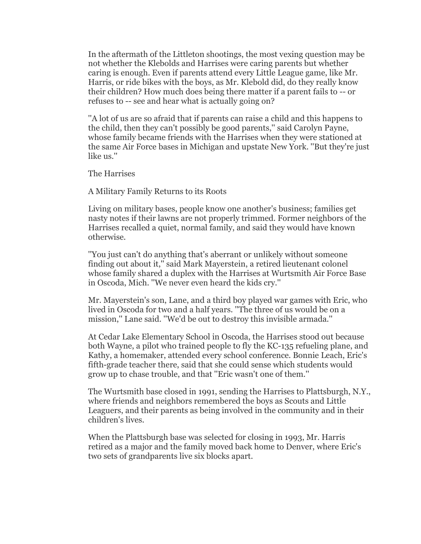In the aftermath of the Littleton shootings, the most vexing question may be not whether the Klebolds and Harrises were caring parents but whether caring is enough. Even if parents attend every Little League game, like Mr. Harris, or ride bikes with the boys, as Mr. Klebold did, do they really know their children? How much does being there matter if a parent fails to -- or refuses to -- see and hear what is actually going on?

''A lot of us are so afraid that if parents can raise a child and this happens to the child, then they can't possibly be good parents,'' said Carolyn Payne, whose family became friends with the Harrises when they were stationed at the same Air Force bases in Michigan and upstate New York. ''But they're just like us.''

The Harrises

A Military Family Returns to its Roots

Living on military bases, people know one another's business; families get nasty notes if their lawns are not properly trimmed. Former neighbors of the Harrises recalled a quiet, normal family, and said they would have known otherwise.

''You just can't do anything that's aberrant or unlikely without someone finding out about it,'' said Mark Mayerstein, a retired lieutenant colonel whose family shared a duplex with the Harrises at Wurtsmith Air Force Base in Oscoda, Mich. ''We never even heard the kids cry.''

Mr. Mayerstein's son, Lane, and a third boy played war games with Eric, who lived in Oscoda for two and a half years. ''The three of us would be on a mission,'' Lane said. ''We'd be out to destroy this invisible armada.''

At Cedar Lake Elementary School in Oscoda, the Harrises stood out because both Wayne, a pilot who trained people to fly the KC-135 refueling plane, and Kathy, a homemaker, attended every school conference. Bonnie Leach, Eric's fifth-grade teacher there, said that she could sense which students would grow up to chase trouble, and that ''Eric wasn't one of them.''

The Wurtsmith base closed in 1991, sending the Harrises to Plattsburgh, N.Y., where friends and neighbors remembered the boys as Scouts and Little Leaguers, and their parents as being involved in the community and in their children's lives.

When the Plattsburgh base was selected for closing in 1993, Mr. Harris retired as a major and the family moved back home to Denver, where Eric's two sets of grandparents live six blocks apart.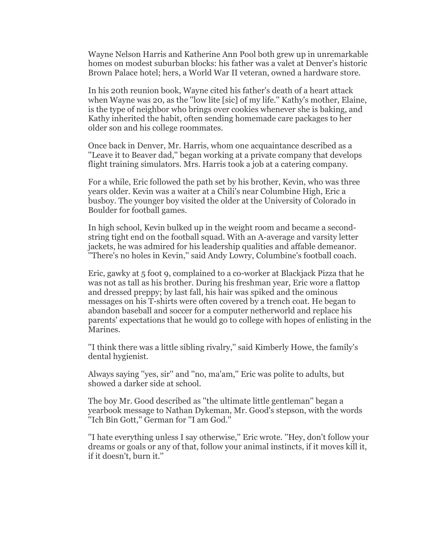Wayne Nelson Harris and Katherine Ann Pool both grew up in unremarkable homes on modest suburban blocks: his father was a valet at Denver's historic Brown Palace hotel; hers, a World War II veteran, owned a hardware store.

In his 20th reunion book, Wayne cited his father's death of a heart attack when Wayne was 20, as the ''low lite [sic] of my life.'' Kathy's mother, Elaine, is the type of neighbor who brings over cookies whenever she is baking, and Kathy inherited the habit, often sending homemade care packages to her older son and his college roommates.

Once back in Denver, Mr. Harris, whom one acquaintance described as a ''Leave it to Beaver dad,'' began working at a private company that develops flight training simulators. Mrs. Harris took a job at a catering company.

For a while, Eric followed the path set by his brother, Kevin, who was three years older. Kevin was a waiter at a Chili's near Columbine High, Eric a busboy. The younger boy visited the older at the University of Colorado in Boulder for football games.

In high school, Kevin bulked up in the weight room and became a secondstring tight end on the football squad. With an A-average and varsity letter jackets, he was admired for his leadership qualities and affable demeanor. ''There's no holes in Kevin,'' said Andy Lowry, Columbine's football coach.

Eric, gawky at 5 foot 9, complained to a co-worker at Blackjack Pizza that he was not as tall as his brother. During his freshman year, Eric wore a flattop and dressed preppy; by last fall, his hair was spiked and the ominous messages on his T-shirts were often covered by a trench coat. He began to abandon baseball and soccer for a computer netherworld and replace his parents' expectations that he would go to college with hopes of enlisting in the Marines.

''I think there was a little sibling rivalry,'' said Kimberly Howe, the family's dental hygienist.

Always saying ''yes, sir'' and ''no, ma'am,'' Eric was polite to adults, but showed a darker side at school.

The boy Mr. Good described as ''the ultimate little gentleman'' began a yearbook message to Nathan Dykeman, Mr. Good's stepson, with the words ''Ich Bin Gott,'' German for ''I am God.''

''I hate everything unless I say otherwise,'' Eric wrote. ''Hey, don't follow your dreams or goals or any of that, follow your animal instincts, if it moves kill it, if it doesn't, burn it.''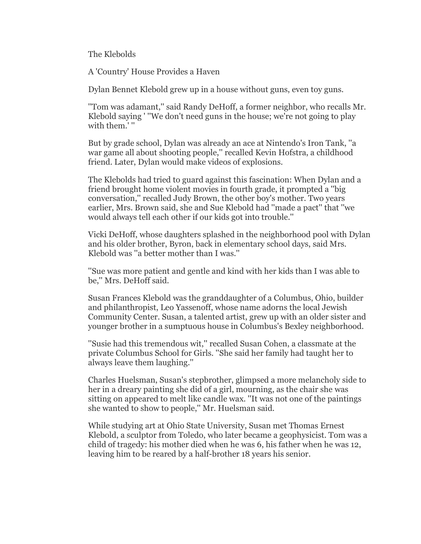The Klebolds

A 'Country' House Provides a Haven

Dylan Bennet Klebold grew up in a house without guns, even toy guns.

''Tom was adamant,'' said Randy DeHoff, a former neighbor, who recalls Mr. Klebold saying ' ''We don't need guns in the house; we're not going to play with them.'"

But by grade school, Dylan was already an ace at Nintendo's Iron Tank, ''a war game all about shooting people,'' recalled Kevin Hofstra, a childhood friend. Later, Dylan would make videos of explosions.

The Klebolds had tried to guard against this fascination: When Dylan and a friend brought home violent movies in fourth grade, it prompted a ''big conversation,'' recalled Judy Brown, the other boy's mother. Two years earlier, Mrs. Brown said, she and Sue Klebold had ''made a pact'' that ''we would always tell each other if our kids got into trouble.''

Vicki DeHoff, whose daughters splashed in the neighborhood pool with Dylan and his older brother, Byron, back in elementary school days, said Mrs. Klebold was ''a better mother than I was.''

''Sue was more patient and gentle and kind with her kids than I was able to be,'' Mrs. DeHoff said.

Susan Frances Klebold was the granddaughter of a Columbus, Ohio, builder and philanthropist, Leo Yassenoff, whose name adorns the local Jewish Community Center. Susan, a talented artist, grew up with an older sister and younger brother in a sumptuous house in Columbus's Bexley neighborhood.

''Susie had this tremendous wit,'' recalled Susan Cohen, a classmate at the private Columbus School for Girls. ''She said her family had taught her to always leave them laughing.''

Charles Huelsman, Susan's stepbrother, glimpsed a more melancholy side to her in a dreary painting she did of a girl, mourning, as the chair she was sitting on appeared to melt like candle wax. ''It was not one of the paintings she wanted to show to people,'' Mr. Huelsman said.

While studying art at Ohio State University, Susan met Thomas Ernest Klebold, a sculptor from Toledo, who later became a geophysicist. Tom was a child of tragedy: his mother died when he was 6, his father when he was 12, leaving him to be reared by a half-brother 18 years his senior.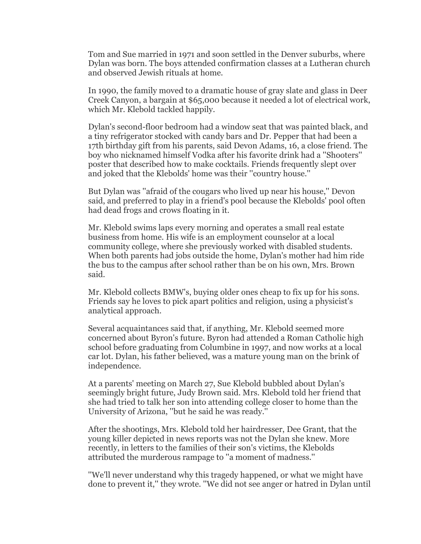Tom and Sue married in 1971 and soon settled in the Denver suburbs, where Dylan was born. The boys attended confirmation classes at a Lutheran church and observed Jewish rituals at home.

In 1990, the family moved to a dramatic house of gray slate and glass in Deer Creek Canyon, a bargain at \$65,000 because it needed a lot of electrical work, which Mr. Klebold tackled happily.

Dylan's second-floor bedroom had a window seat that was painted black, and a tiny refrigerator stocked with candy bars and Dr. Pepper that had been a 17th birthday gift from his parents, said Devon Adams, 16, a close friend. The boy who nicknamed himself Vodka after his favorite drink had a ''Shooters'' poster that described how to make cocktails. Friends frequently slept over and joked that the Klebolds' home was their ''country house.''

But Dylan was ''afraid of the cougars who lived up near his house,'' Devon said, and preferred to play in a friend's pool because the Klebolds' pool often had dead frogs and crows floating in it.

Mr. Klebold swims laps every morning and operates a small real estate business from home. His wife is an employment counselor at a local community college, where she previously worked with disabled students. When both parents had jobs outside the home, Dylan's mother had him ride the bus to the campus after school rather than be on his own, Mrs. Brown said.

Mr. Klebold collects BMW's, buying older ones cheap to fix up for his sons. Friends say he loves to pick apart politics and religion, using a physicist's analytical approach.

Several acquaintances said that, if anything, Mr. Klebold seemed more concerned about Byron's future. Byron had attended a Roman Catholic high school before graduating from Columbine in 1997, and now works at a local car lot. Dylan, his father believed, was a mature young man on the brink of independence.

At a parents' meeting on March 27, Sue Klebold bubbled about Dylan's seemingly bright future, Judy Brown said. Mrs. Klebold told her friend that she had tried to talk her son into attending college closer to home than the University of Arizona, ''but he said he was ready.''

After the shootings, Mrs. Klebold told her hairdresser, Dee Grant, that the young killer depicted in news reports was not the Dylan she knew. More recently, in letters to the families of their son's victims, the Klebolds attributed the murderous rampage to ''a moment of madness.''

''We'll never understand why this tragedy happened, or what we might have done to prevent it,'' they wrote. ''We did not see anger or hatred in Dylan until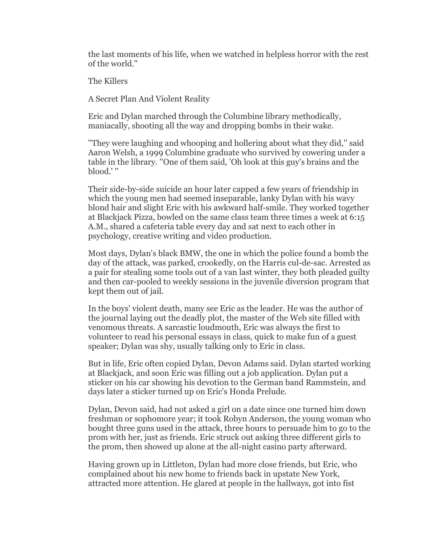the last moments of his life, when we watched in helpless horror with the rest of the world.''

The Killers

A Secret Plan And Violent Reality

Eric and Dylan marched through the Columbine library methodically, maniacally, shooting all the way and dropping bombs in their wake.

''They were laughing and whooping and hollering about what they did,'' said Aaron Welsh, a 1999 Columbine graduate who survived by cowering under a table in the library. ''One of them said, 'Oh look at this guy's brains and the blood.' ''

Their side-by-side suicide an hour later capped a few years of friendship in which the young men had seemed inseparable, lanky Dylan with his wavy blond hair and slight Eric with his awkward half-smile. They worked together at Blackjack Pizza, bowled on the same class team three times a week at 6:15 A.M., shared a cafeteria table every day and sat next to each other in psychology, creative writing and video production.

Most days, Dylan's black BMW, the one in which the police found a bomb the day of the attack, was parked, crookedly, on the Harris cul-de-sac. Arrested as a pair for stealing some tools out of a van last winter, they both pleaded guilty and then car-pooled to weekly sessions in the juvenile diversion program that kept them out of jail.

In the boys' violent death, many see Eric as the leader. He was the author of the journal laying out the deadly plot, the master of the Web site filled with venomous threats. A sarcastic loudmouth, Eric was always the first to volunteer to read his personal essays in class, quick to make fun of a guest speaker; Dylan was shy, usually talking only to Eric in class.

But in life, Eric often copied Dylan, Devon Adams said. Dylan started working at Blackjack, and soon Eric was filling out a job application. Dylan put a sticker on his car showing his devotion to the German band Rammstein, and days later a sticker turned up on Eric's Honda Prelude.

Dylan, Devon said, had not asked a girl on a date since one turned him down freshman or sophomore year; it took Robyn Anderson, the young woman who bought three guns used in the attack, three hours to persuade him to go to the prom with her, just as friends. Eric struck out asking three different girls to the prom, then showed up alone at the all-night casino party afterward.

Having grown up in Littleton, Dylan had more close friends, but Eric, who complained about his new home to friends back in upstate New York, attracted more attention. He glared at people in the hallways, got into fist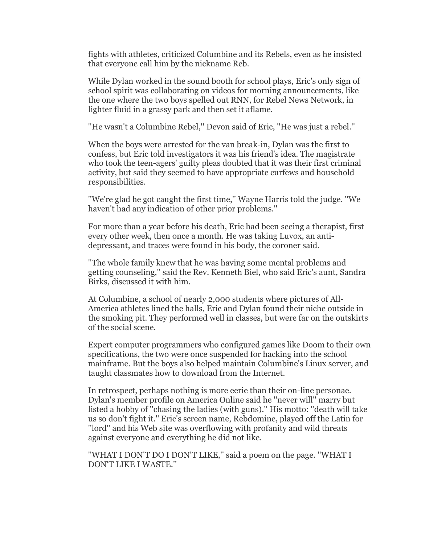fights with athletes, criticized Columbine and its Rebels, even as he insisted that everyone call him by the nickname Reb.

While Dylan worked in the sound booth for school plays, Eric's only sign of school spirit was collaborating on videos for morning announcements, like the one where the two boys spelled out RNN, for Rebel News Network, in lighter fluid in a grassy park and then set it aflame.

''He wasn't a Columbine Rebel,'' Devon said of Eric, ''He was just a rebel.''

When the boys were arrested for the van break-in, Dylan was the first to confess, but Eric told investigators it was his friend's idea. The magistrate who took the teen-agers' guilty pleas doubted that it was their first criminal activity, but said they seemed to have appropriate curfews and household responsibilities.

''We're glad he got caught the first time,'' Wayne Harris told the judge. ''We haven't had any indication of other prior problems.''

For more than a year before his death, Eric had been seeing a therapist, first every other week, then once a month. He was taking Luvox, an antidepressant, and traces were found in his body, the coroner said.

''The whole family knew that he was having some mental problems and getting counseling,'' said the Rev. Kenneth Biel, who said Eric's aunt, Sandra Birks, discussed it with him.

At Columbine, a school of nearly 2,000 students where pictures of All-America athletes lined the halls, Eric and Dylan found their niche outside in the smoking pit. They performed well in classes, but were far on the outskirts of the social scene.

Expert computer programmers who configured games like Doom to their own specifications, the two were once suspended for hacking into the school mainframe. But the boys also helped maintain Columbine's Linux server, and taught classmates how to download from the Internet.

In retrospect, perhaps nothing is more eerie than their on-line personae. Dylan's member profile on America Online said he ''never will'' marry but listed a hobby of ''chasing the ladies (with guns).'' His motto: ''death will take us so don't fight it.'' Eric's screen name, Rebdomine, played off the Latin for ''lord'' and his Web site was overflowing with profanity and wild threats against everyone and everything he did not like.

''WHAT I DON'T DO I DON'T LIKE,'' said a poem on the page. ''WHAT I DON'T LIKE I WASTE.''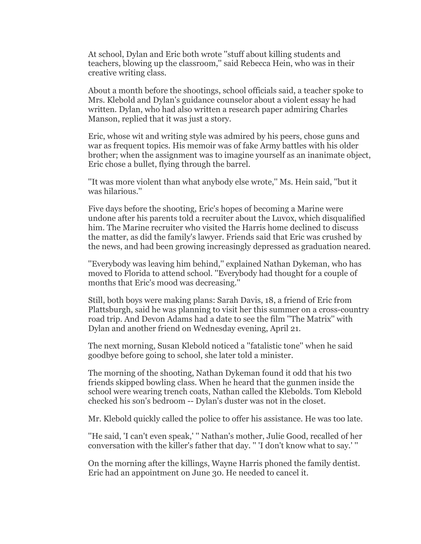At school, Dylan and Eric both wrote ''stuff about killing students and teachers, blowing up the classroom,'' said Rebecca Hein, who was in their creative writing class.

About a month before the shootings, school officials said, a teacher spoke to Mrs. Klebold and Dylan's guidance counselor about a violent essay he had written. Dylan, who had also written a research paper admiring Charles Manson, replied that it was just a story.

Eric, whose wit and writing style was admired by his peers, chose guns and war as frequent topics. His memoir was of fake Army battles with his older brother; when the assignment was to imagine yourself as an inanimate object, Eric chose a bullet, flying through the barrel.

''It was more violent than what anybody else wrote,'' Ms. Hein said, ''but it was hilarious.''

Five days before the shooting, Eric's hopes of becoming a Marine were undone after his parents told a recruiter about the Luvox, which disqualified him. The Marine recruiter who visited the Harris home declined to discuss the matter, as did the family's lawyer. Friends said that Eric was crushed by the news, and had been growing increasingly depressed as graduation neared.

''Everybody was leaving him behind,'' explained Nathan Dykeman, who has moved to Florida to attend school. ''Everybody had thought for a couple of months that Eric's mood was decreasing.''

Still, both boys were making plans: Sarah Davis, 18, a friend of Eric from Plattsburgh, said he was planning to visit her this summer on a cross-country road trip. And Devon Adams had a date to see the film ''The Matrix'' with Dylan and another friend on Wednesday evening, April 21.

The next morning, Susan Klebold noticed a ''fatalistic tone'' when he said goodbye before going to school, she later told a minister.

The morning of the shooting, Nathan Dykeman found it odd that his two friends skipped bowling class. When he heard that the gunmen inside the school were wearing trench coats, Nathan called the Klebolds. Tom Klebold checked his son's bedroom -- Dylan's duster was not in the closet.

Mr. Klebold quickly called the police to offer his assistance. He was too late.

''He said, 'I can't even speak,' '' Nathan's mother, Julie Good, recalled of her conversation with the killer's father that day. '' 'I don't know what to say.' ''

On the morning after the killings, Wayne Harris phoned the family dentist. Eric had an appointment on June 30. He needed to cancel it.